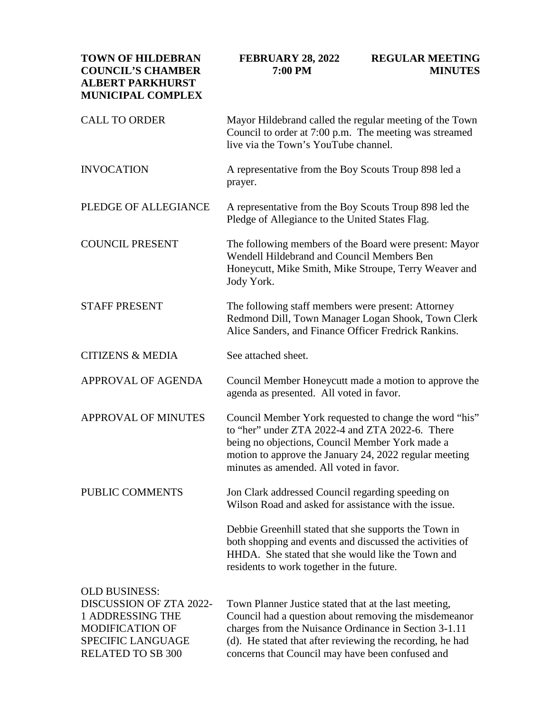| <b>TOWN OF HILDEBRAN</b><br><b>COUNCIL'S CHAMBER</b><br><b>ALBERT PARKHURST</b><br><b>MUNICIPAL COMPLEX</b>                                           | <b>FEBRUARY 28, 2022</b><br>7:00 PM                                                                                                                                                                                                                                                      | <b>REGULAR MEETING</b><br><b>MINUTES</b> |
|-------------------------------------------------------------------------------------------------------------------------------------------------------|------------------------------------------------------------------------------------------------------------------------------------------------------------------------------------------------------------------------------------------------------------------------------------------|------------------------------------------|
| <b>CALL TO ORDER</b>                                                                                                                                  | Mayor Hildebrand called the regular meeting of the Town<br>Council to order at 7:00 p.m. The meeting was streamed<br>live via the Town's YouTube channel.                                                                                                                                |                                          |
| <b>INVOCATION</b>                                                                                                                                     | A representative from the Boy Scouts Troup 898 led a<br>prayer.                                                                                                                                                                                                                          |                                          |
| PLEDGE OF ALLEGIANCE                                                                                                                                  | A representative from the Boy Scouts Troup 898 led the<br>Pledge of Allegiance to the United States Flag.                                                                                                                                                                                |                                          |
| <b>COUNCIL PRESENT</b>                                                                                                                                | The following members of the Board were present: Mayor<br>Wendell Hildebrand and Council Members Ben<br>Honeycutt, Mike Smith, Mike Stroupe, Terry Weaver and<br>Jody York.                                                                                                              |                                          |
| <b>STAFF PRESENT</b>                                                                                                                                  | The following staff members were present: Attorney<br>Redmond Dill, Town Manager Logan Shook, Town Clerk<br>Alice Sanders, and Finance Officer Fredrick Rankins.                                                                                                                         |                                          |
| <b>CITIZENS &amp; MEDIA</b>                                                                                                                           | See attached sheet.                                                                                                                                                                                                                                                                      |                                          |
| APPROVAL OF AGENDA                                                                                                                                    | Council Member Honeycutt made a motion to approve the<br>agenda as presented. All voted in favor.                                                                                                                                                                                        |                                          |
| <b>APPROVAL OF MINUTES</b>                                                                                                                            | Council Member York requested to change the word "his"<br>to "her" under ZTA 2022-4 and ZTA 2022-6. There<br>being no objections, Council Member York made a<br>motion to approve the January 24, 2022 regular meeting<br>minutes as amended. All voted in favor.                        |                                          |
| PUBLIC COMMENTS                                                                                                                                       | Jon Clark addressed Council regarding speeding on<br>Wilson Road and asked for assistance with the issue.                                                                                                                                                                                |                                          |
|                                                                                                                                                       | Debbie Greenhill stated that she supports the Town in<br>both shopping and events and discussed the activities of<br>HHDA. She stated that she would like the Town and<br>residents to work together in the future.                                                                      |                                          |
| <b>OLD BUSINESS:</b><br><b>DISCUSSION OF ZTA 2022-</b><br>1 ADDRESSING THE<br><b>MODIFICATION OF</b><br><b>SPECIFIC LANGUAGE</b><br>RELATED TO SB 300 | Town Planner Justice stated that at the last meeting,<br>Council had a question about removing the misdemeanor<br>charges from the Nuisance Ordinance in Section 3-1.11<br>(d). He stated that after reviewing the recording, he had<br>concerns that Council may have been confused and |                                          |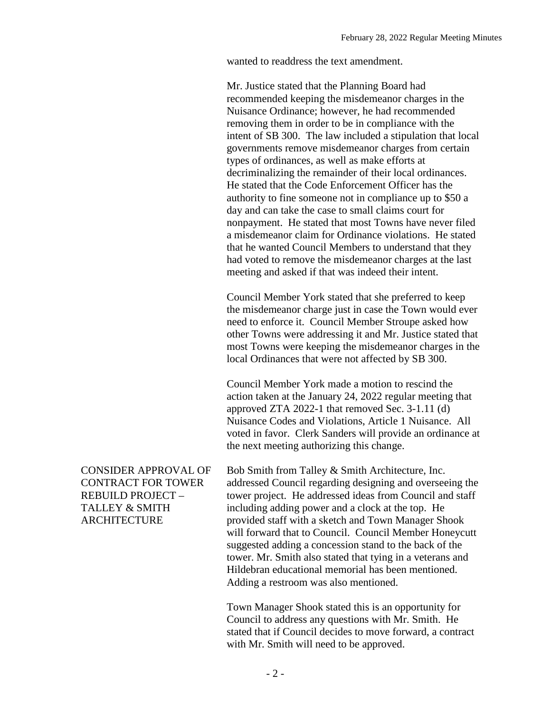wanted to readdress the text amendment.

Mr. Justice stated that the Planning Board had recommended keeping the misdemeanor charges in the Nuisance Ordinance; however, he had recommended removing them in order to be in compliance with the intent of SB 300. The law included a stipulation that local governments remove misdemeanor charges from certain types of ordinances, as well as make efforts at decriminalizing the remainder of their local ordinances. He stated that the Code Enforcement Officer has the authority to fine someone not in compliance up to \$50 a day and can take the case to small claims court for nonpayment. He stated that most Towns have never filed a misdemeanor claim for Ordinance violations. He stated that he wanted Council Members to understand that they had voted to remove the misdemeanor charges at the last meeting and asked if that was indeed their intent.

Council Member York stated that she preferred to keep the misdemeanor charge just in case the Town would ever need to enforce it. Council Member Stroupe asked how other Towns were addressing it and Mr. Justice stated that most Towns were keeping the misdemeanor charges in the local Ordinances that were not affected by SB 300.

Council Member York made a motion to rescind the action taken at the January 24, 2022 regular meeting that approved ZTA 2022-1 that removed Sec. 3-1.11 (d) Nuisance Codes and Violations, Article 1 Nuisance. All voted in favor. Clerk Sanders will provide an ordinance at the next meeting authorizing this change.

CONSIDER APPROVAL OF CONTRACT FOR TOWER REBUILD PROJECT – TALLEY & SMITH ARCHITECTURE

Bob Smith from Talley & Smith Architecture, Inc. addressed Council regarding designing and overseeing the tower project. He addressed ideas from Council and staff including adding power and a clock at the top. He provided staff with a sketch and Town Manager Shook will forward that to Council. Council Member Honeycutt suggested adding a concession stand to the back of the tower. Mr. Smith also stated that tying in a veterans and Hildebran educational memorial has been mentioned. Adding a restroom was also mentioned.

Town Manager Shook stated this is an opportunity for Council to address any questions with Mr. Smith. He stated that if Council decides to move forward, a contract with Mr. Smith will need to be approved.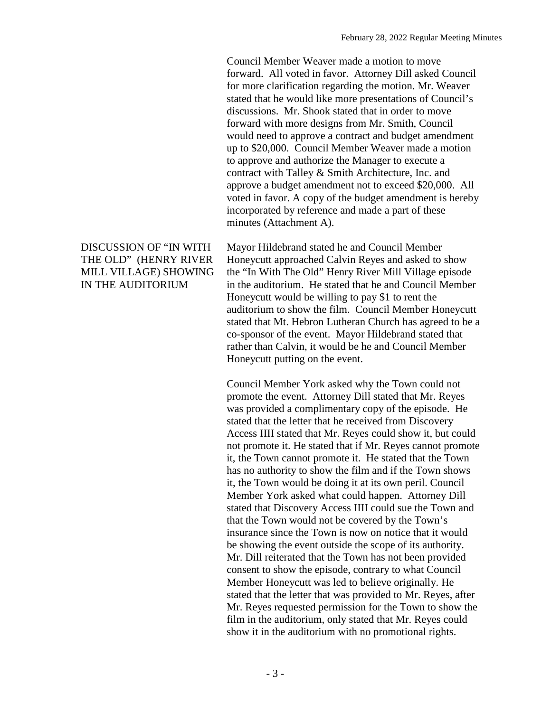Council Member Weaver made a motion to move forward. All voted in favor. Attorney Dill asked Council for more clarification regarding the motion. Mr. Weaver stated that he would like more presentations of Council's discussions. Mr. Shook stated that in order to move forward with more designs from Mr. Smith, Council would need to approve a contract and budget amendment up to \$20,000. Council Member Weaver made a motion to approve and authorize the Manager to execute a contract with Talley & Smith Architecture, Inc. and approve a budget amendment not to exceed \$20,000. All voted in favor. A copy of the budget amendment is hereby incorporated by reference and made a part of these minutes (Attachment A).

#### DISCUSSION OF "IN WITH THE OLD" (HENRY RIVER MILL VILLAGE) SHOWING IN THE AUDITORIUM

Mayor Hildebrand stated he and Council Member Honeycutt approached Calvin Reyes and asked to show the "In With The Old" Henry River Mill Village episode in the auditorium. He stated that he and Council Member Honeycutt would be willing to pay \$1 to rent the auditorium to show the film. Council Member Honeycutt stated that Mt. Hebron Lutheran Church has agreed to be a co-sponsor of the event. Mayor Hildebrand stated that rather than Calvin, it would be he and Council Member Honeycutt putting on the event.

Council Member York asked why the Town could not promote the event. Attorney Dill stated that Mr. Reyes was provided a complimentary copy of the episode. He stated that the letter that he received from Discovery Access IIII stated that Mr. Reyes could show it, but could not promote it. He stated that if Mr. Reyes cannot promote it, the Town cannot promote it. He stated that the Town has no authority to show the film and if the Town shows it, the Town would be doing it at its own peril. Council Member York asked what could happen. Attorney Dill stated that Discovery Access IIII could sue the Town and that the Town would not be covered by the Town's insurance since the Town is now on notice that it would be showing the event outside the scope of its authority. Mr. Dill reiterated that the Town has not been provided consent to show the episode, contrary to what Council Member Honeycutt was led to believe originally. He stated that the letter that was provided to Mr. Reyes, after Mr. Reyes requested permission for the Town to show the film in the auditorium, only stated that Mr. Reyes could show it in the auditorium with no promotional rights.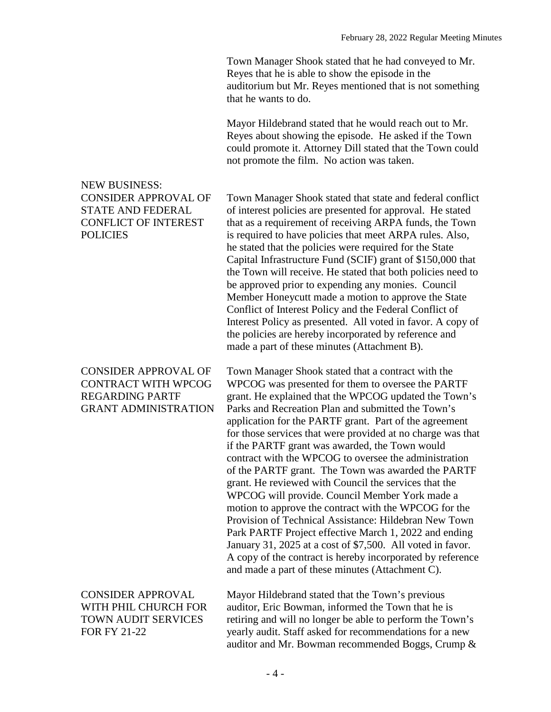Town Manager Shook stated that he had conveyed to Mr. Reyes that he is able to show the episode in the auditorium but Mr. Reyes mentioned that is not something that he wants to do.

Mayor Hildebrand stated that he would reach out to Mr. Reyes about showing the episode. He asked if the Town could promote it. Attorney Dill stated that the Town could not promote the film. No action was taken.

## Town Manager Shook stated that state and federal conflict of interest policies are presented for approval. He stated that as a requirement of receiving ARPA funds, the Town is required to have policies that meet ARPA rules. Also, he stated that the policies were required for the State Capital Infrastructure Fund (SCIF) grant of \$150,000 that the Town will receive. He stated that both policies need to be approved prior to expending any monies. Council Member Honeycutt made a motion to approve the State Conflict of Interest Policy and the Federal Conflict of Interest Policy as presented. All voted in favor. A copy of the policies are hereby incorporated by reference and made a part of these minutes (Attachment B).

Town Manager Shook stated that a contract with the WPCOG was presented for them to oversee the PARTF grant. He explained that the WPCOG updated the Town's Parks and Recreation Plan and submitted the Town's application for the PARTF grant. Part of the agreement for those services that were provided at no charge was that if the PARTF grant was awarded, the Town would contract with the WPCOG to oversee the administration of the PARTF grant. The Town was awarded the PARTF grant. He reviewed with Council the services that the WPCOG will provide. Council Member York made a motion to approve the contract with the WPCOG for the Provision of Technical Assistance: Hildebran New Town Park PARTF Project effective March 1, 2022 and ending January 31, 2025 at a cost of \$7,500. All voted in favor. A copy of the contract is hereby incorporated by reference and made a part of these minutes (Attachment C).

CONSIDER APPROVAL WITH PHIL CHURCH FOR TOWN AUDIT SERVICES FOR FY 21-22

Mayor Hildebrand stated that the Town's previous auditor, Eric Bowman, informed the Town that he is retiring and will no longer be able to perform the Town's yearly audit. Staff asked for recommendations for a new auditor and Mr. Bowman recommended Boggs, Crump &

# NEW BUSINESS: CONSIDER APPROVAL OF STATE AND FEDERAL CONFLICT OF INTEREST POLICIES

### CONSIDER APPROVAL OF CONTRACT WITH WPCOG REGARDING PARTF GRANT ADMINISTRATION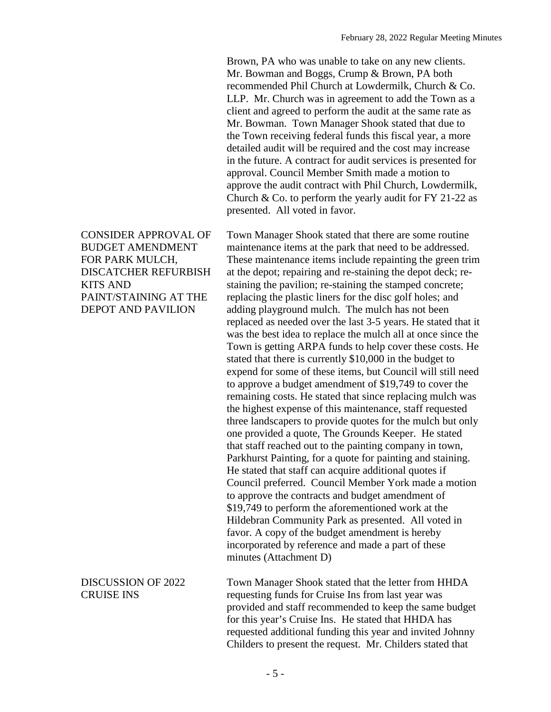Brown, PA who was unable to take on any new clients. Mr. Bowman and Boggs, Crump & Brown, PA both recommended Phil Church at Lowdermilk, Church & Co. LLP. Mr. Church was in agreement to add the Town as a client and agreed to perform the audit at the same rate as Mr. Bowman. Town Manager Shook stated that due to the Town receiving federal funds this fiscal year, a more detailed audit will be required and the cost may increase in the future. A contract for audit services is presented for approval. Council Member Smith made a motion to approve the audit contract with Phil Church, Lowdermilk, Church  $&$  Co. to perform the yearly audit for FY 21-22 as presented. All voted in favor.

Town Manager Shook stated that there are some routine maintenance items at the park that need to be addressed. These maintenance items include repainting the green trim at the depot; repairing and re-staining the depot deck; restaining the pavilion; re-staining the stamped concrete; replacing the plastic liners for the disc golf holes; and adding playground mulch. The mulch has not been replaced as needed over the last 3-5 years. He stated that it was the best idea to replace the mulch all at once since the Town is getting ARPA funds to help cover these costs. He stated that there is currently \$10,000 in the budget to expend for some of these items, but Council will still need to approve a budget amendment of \$19,749 to cover the remaining costs. He stated that since replacing mulch was the highest expense of this maintenance, staff requested three landscapers to provide quotes for the mulch but only one provided a quote, The Grounds Keeper. He stated that staff reached out to the painting company in town, Parkhurst Painting, for a quote for painting and staining. He stated that staff can acquire additional quotes if Council preferred. Council Member York made a motion to approve the contracts and budget amendment of \$19,749 to perform the aforementioned work at the Hildebran Community Park as presented. All voted in favor. A copy of the budget amendment is hereby incorporated by reference and made a part of these minutes (Attachment D)

Town Manager Shook stated that the letter from HHDA requesting funds for Cruise Ins from last year was provided and staff recommended to keep the same budget for this year's Cruise Ins. He stated that HHDA has requested additional funding this year and invited Johnny Childers to present the request. Mr. Childers stated that

CONSIDER APPROVAL OF BUDGET AMENDMENT FOR PARK MULCH, DISCATCHER REFURBISH KITS AND PAINT/STAINING AT THE DEPOT AND PAVILION

## DISCUSSION OF 2022 CRUISE INS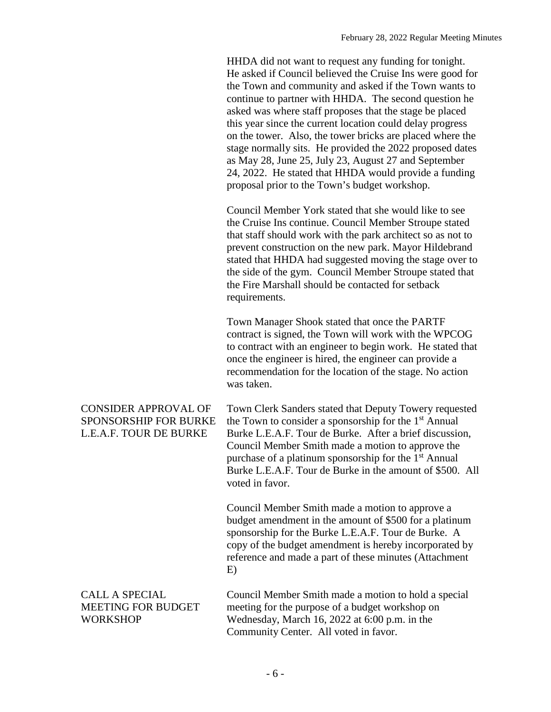HHDA did not want to request any funding for tonight. He asked if Council believed the Cruise Ins were good for the Town and community and asked if the Town wants to continue to partner with HHDA. The second question he asked was where staff proposes that the stage be placed this year since the current location could delay progress on the tower. Also, the tower bricks are placed where the stage normally sits. He provided the 2022 proposed dates as May 28, June 25, July 23, August 27 and September 24, 2022. He stated that HHDA would provide a funding proposal prior to the Town's budget workshop.

Council Member York stated that she would like to see the Cruise Ins continue. Council Member Stroupe stated that staff should work with the park architect so as not to prevent construction on the new park. Mayor Hildebrand stated that HHDA had suggested moving the stage over to the side of the gym. Council Member Stroupe stated that the Fire Marshall should be contacted for setback requirements.

Town Manager Shook stated that once the PARTF contract is signed, the Town will work with the WPCOG to contract with an engineer to begin work. He stated that once the engineer is hired, the engineer can provide a recommendation for the location of the stage. No action was taken.

Town Clerk Sanders stated that Deputy Towery requested the Town to consider a sponsorship for the  $1<sup>st</sup>$  Annual Burke L.E.A.F. Tour de Burke. After a brief discussion, Council Member Smith made a motion to approve the purchase of a platinum sponsorship for the  $1<sup>st</sup>$  Annual Burke L.E.A.F. Tour de Burke in the amount of \$500. All voted in favor.

> Council Member Smith made a motion to approve a budget amendment in the amount of \$500 for a platinum sponsorship for the Burke L.E.A.F. Tour de Burke. A copy of the budget amendment is hereby incorporated by reference and made a part of these minutes (Attachment E)

Council Member Smith made a motion to hold a special meeting for the purpose of a budget workshop on Wednesday, March 16, 2022 at 6:00 p.m. in the Community Center. All voted in favor.

CONSIDER APPROVAL OF SPONSORSHIP FOR BURKE L.E.A.F. TOUR DE BURKE

CALL A SPECIAL

**WORKSHOP** 

MEETING FOR BUDGET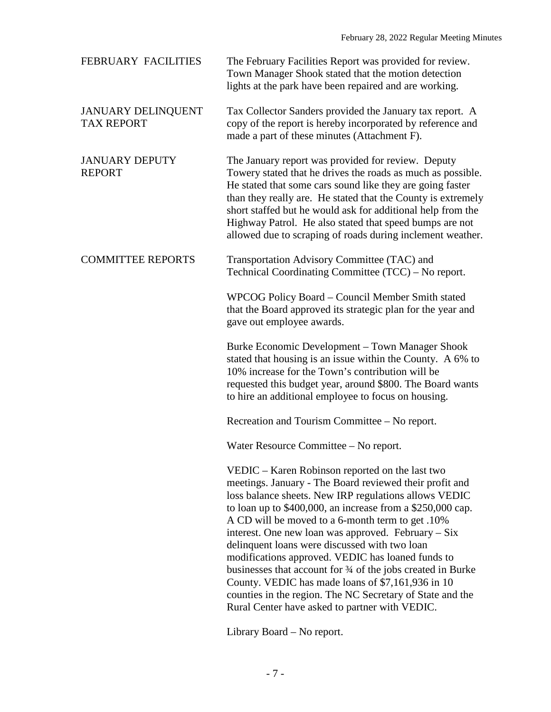| FEBRUARY FACILITIES                            | The February Facilities Report was provided for review.<br>Town Manager Shook stated that the motion detection<br>lights at the park have been repaired and are working.                                                                                                                                                                                                                                                                                                                                                                                                                                                                                                                |
|------------------------------------------------|-----------------------------------------------------------------------------------------------------------------------------------------------------------------------------------------------------------------------------------------------------------------------------------------------------------------------------------------------------------------------------------------------------------------------------------------------------------------------------------------------------------------------------------------------------------------------------------------------------------------------------------------------------------------------------------------|
| <b>JANUARY DELINQUENT</b><br><b>TAX REPORT</b> | Tax Collector Sanders provided the January tax report. A<br>copy of the report is hereby incorporated by reference and<br>made a part of these minutes (Attachment F).                                                                                                                                                                                                                                                                                                                                                                                                                                                                                                                  |
| <b>JANUARY DEPUTY</b><br><b>REPORT</b>         | The January report was provided for review. Deputy<br>Towery stated that he drives the roads as much as possible.<br>He stated that some cars sound like they are going faster<br>than they really are. He stated that the County is extremely<br>short staffed but he would ask for additional help from the<br>Highway Patrol. He also stated that speed bumps are not<br>allowed due to scraping of roads during inclement weather.                                                                                                                                                                                                                                                  |
| <b>COMMITTEE REPORTS</b>                       | Transportation Advisory Committee (TAC) and<br>Technical Coordinating Committee (TCC) – No report.                                                                                                                                                                                                                                                                                                                                                                                                                                                                                                                                                                                      |
|                                                | WPCOG Policy Board - Council Member Smith stated<br>that the Board approved its strategic plan for the year and<br>gave out employee awards.                                                                                                                                                                                                                                                                                                                                                                                                                                                                                                                                            |
|                                                | Burke Economic Development - Town Manager Shook<br>stated that housing is an issue within the County. A 6% to<br>10% increase for the Town's contribution will be<br>requested this budget year, around \$800. The Board wants<br>to hire an additional employee to focus on housing.                                                                                                                                                                                                                                                                                                                                                                                                   |
|                                                | Recreation and Tourism Committee – No report.                                                                                                                                                                                                                                                                                                                                                                                                                                                                                                                                                                                                                                           |
|                                                | Water Resource Committee – No report.                                                                                                                                                                                                                                                                                                                                                                                                                                                                                                                                                                                                                                                   |
|                                                | VEDIC – Karen Robinson reported on the last two<br>meetings. January - The Board reviewed their profit and<br>loss balance sheets. New IRP regulations allows VEDIC<br>to loan up to \$400,000, an increase from a \$250,000 cap.<br>A CD will be moved to a 6-month term to get .10%<br>interest. One new loan was approved. February $-Six$<br>delinquent loans were discussed with two loan<br>modifications approved. VEDIC has loaned funds to<br>businesses that account for 3⁄4 of the jobs created in Burke<br>County. VEDIC has made loans of \$7,161,936 in 10<br>counties in the region. The NC Secretary of State and the<br>Rural Center have asked to partner with VEDIC. |

Library Board – No report.